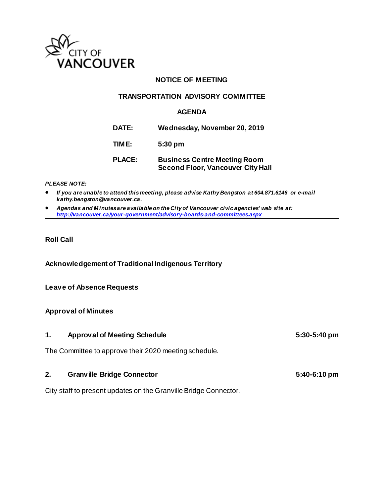

# **NOTICE OF MEETING**

### **TRANSPORTATION ADVISORY COMMITTEE**

### **AGENDA**

**DATE: Wednesday, November 20, 2019**

**TIME: 5:30 pm**

# **PLACE: Business Centre Meeting Room Second Floor, Vancouver City Hall**

#### *PLEASE NOTE:*

• *If you are unable to attend this meeting, please advise Kathy Bengston at 604.871.6146 or e-mail kathy.bengston@vancouver.ca.* 

• *Agendas and M inutes are available on the City of Vancouver civic agencies' web site at: <http://vancouver.ca/your-government/advisory-boards-and-committees.aspx>*

### **Roll Call**

**Acknowledgement of Traditional Indigenous Territory**

#### **Leave of Absence Requests**

#### **Approval of Minutes**

| <b>Approval of Meeting Schedule</b>                   | $5:30-5:40$ pm |
|-------------------------------------------------------|----------------|
| The Committee to approve their 2020 meeting schedule. |                |

# **2. Granville Bridge Connector 5:40-6:10 pm**

City staff to present updates on the Granville Bridge Connector.